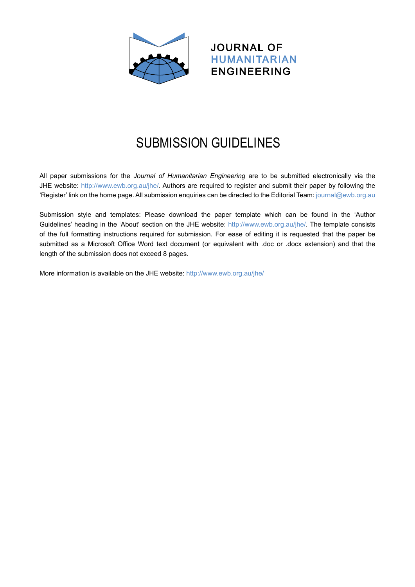

## JOURNAL OF HUMANITARIAN ENGINEERING

## SUBMISSION GUIDELINES  $\bullet$ GUIDELINES

All paper submissions for the *Journal of Humanitarian Engineering* are to be submitted electronically via the JHE website: [http://www.ewb.org.au/jhe/.](http://www.ewb.org.au/jhe/) Authors are required to register and submit their paper by following the 'Register' link on the home page. All submission enquiries can be directed to the Editorial Team: [journal@ewb.org.au](mailto:journal%40ewb.org.au%20?subject=)

Submission style and templates: Please download the paper template which can be found in the 'Author Guidelines' heading in the 'About' section on the JHE website: [http://www.ewb.org.au/jhe/.](http://www.ewb.org.au/jhe/) The template consists of the full formatting instructions required for submission. For ease of editing it is requested that the paper be submitted as a Microsoft Office Word text document (or equivalent with .doc or .docx extension) and that the length of the submission does not exceed 8 pages.

More information is available on the JHE website:<http://www.ewb.org.au/jhe/>